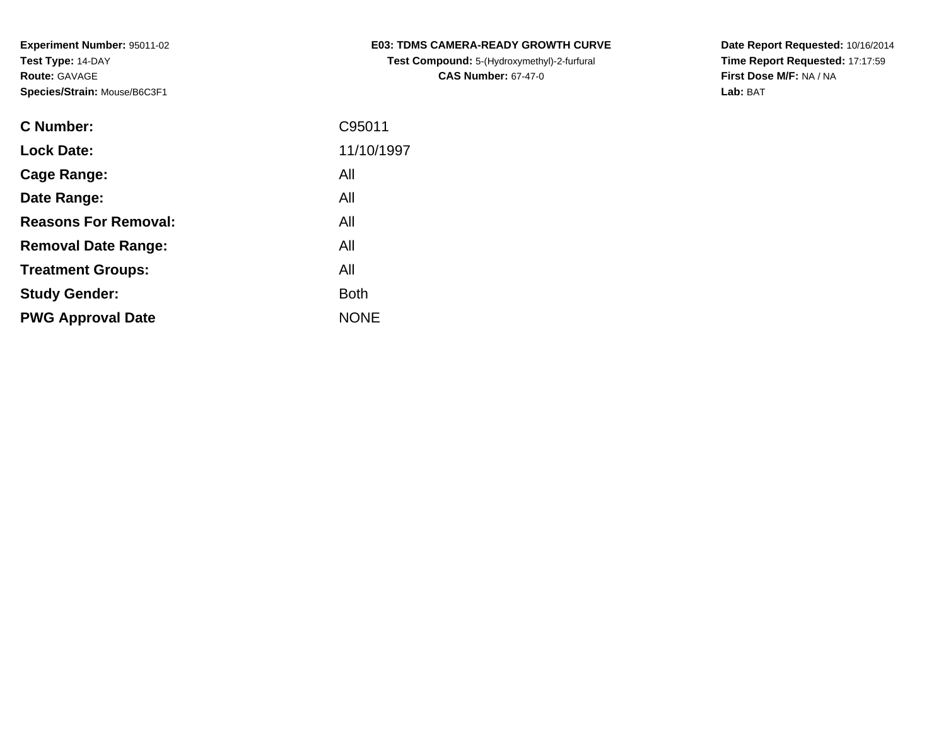| <b>C Number:</b>            | C95011      |
|-----------------------------|-------------|
| <b>Lock Date:</b>           | 11/10/1997  |
| <b>Cage Range:</b>          | All         |
| Date Range:                 | All         |
| <b>Reasons For Removal:</b> | All         |
| <b>Removal Date Range:</b>  | All         |
| <b>Treatment Groups:</b>    | All         |
| <b>Study Gender:</b>        | <b>Both</b> |
| <b>PWG Approval Date</b>    | <b>NONE</b> |
|                             |             |

**E03: TDMS CAMERA-READY GROWTH CURVETest Compound:** 5-(Hydroxymethyl)-2-furfural **CAS Number:** 67-47-0

**Date Report Requested:** 10/16/2014 **Time Report Requested:** 17:17:59**First Dose M/F:** NA / NA**Lab:** BAT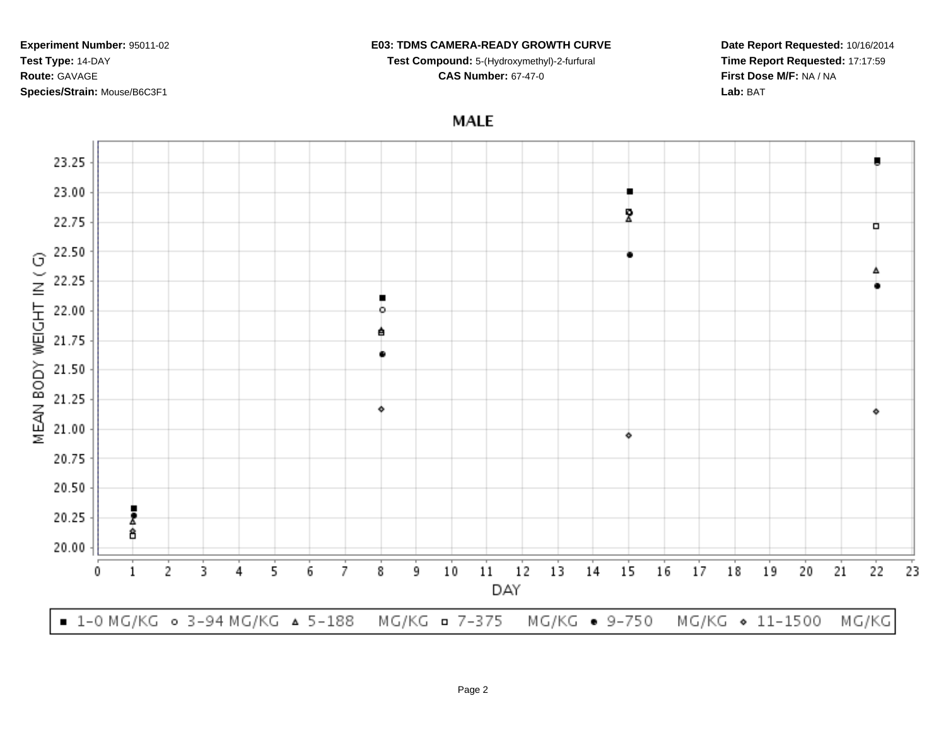### **E03: TDMS CAMERA-READY GROWTH CURVE**

**Test Compound:** 5-(Hydroxymethyl)-2-furfural

**CAS Number:** 67-47-0

**Date Report Requested:** 10/16/2014**Time Report Requested:** 17:17:59**First Dose M/F:** NA / NA**Lab:** BAT

**MALE** 

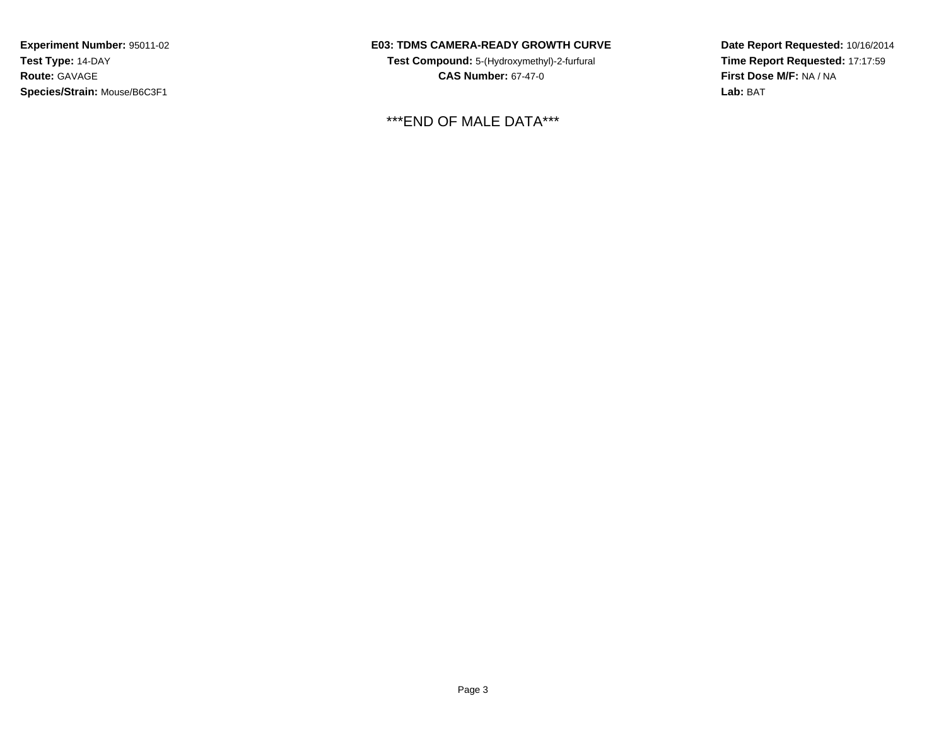## **E03: TDMS CAMERA-READY GROWTH CURVE**

**Test Compound:** 5-(Hydroxymethyl)-2-furfural **CAS Number:** 67-47-0

\*\*\*END OF MALE DATA\*\*\*

**Date Report Requested:** 10/16/2014**Time Report Requested:** 17:17:59**First Dose M/F:** NA / NA**Lab:** BAT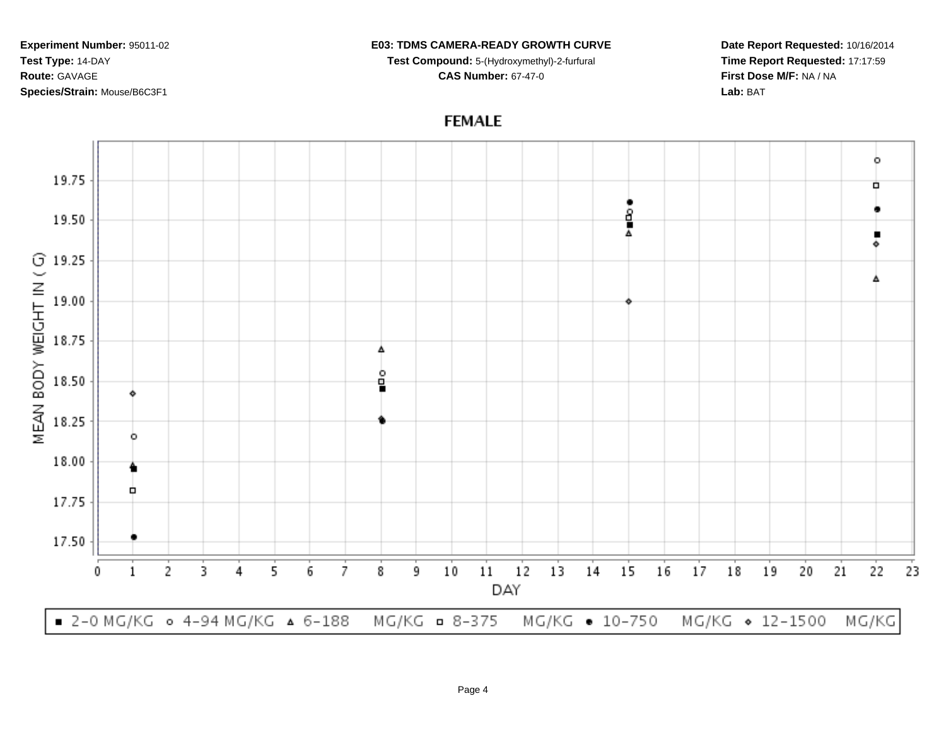#### **E03: TDMS CAMERA-READY GROWTH CURVE**

**Test Compound:** 5-(Hydroxymethyl)-2-furfural **CAS Number:** 67-47-0

**Date Report Requested:** 10/16/2014**Time Report Requested:** 17:17:59**First Dose M/F:** NA / NA**Lab:** BAT

# **FEMALE**